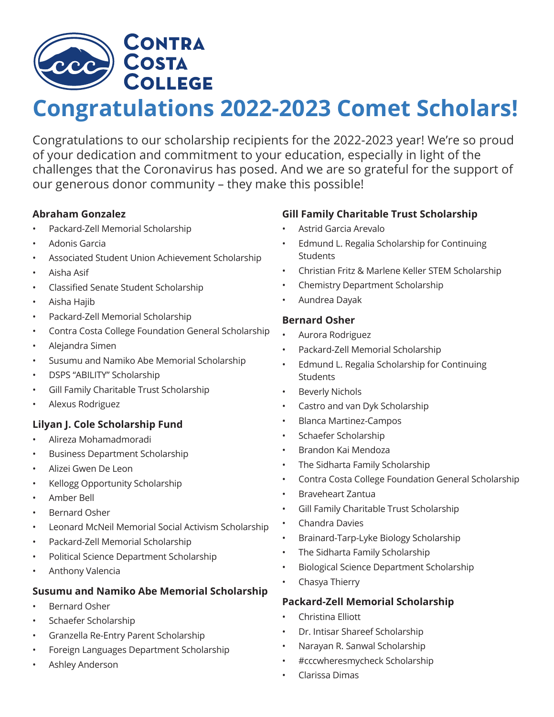

# **Congratulations 2022-2023 Comet Scholars!**

Congratulations to our scholarship recipients for the 2022-2023 year! We're so proud of your dedication and commitment to your education, especially in light of the challenges that the Coronavirus has posed. And we are so grateful for the support of our generous donor community – they make this possible!

#### **Abraham Gonzalez**

- Packard-Zell Memorial Scholarship
- Adonis Garcia
- Associated Student Union Achievement Scholarship
- Aisha Asif
- Classified Senate Student Scholarship
- Aisha Hajib
- Packard-Zell Memorial Scholarship
- Contra Costa College Foundation General Scholarship
- Alejandra Simen
- Susumu and Namiko Abe Memorial Scholarship
- DSPS "ABILITY" Scholarship
- Gill Family Charitable Trust Scholarship
- Alexus Rodriguez

# **Lilyan J. Cole Scholarship Fund**

- Alireza Mohamadmoradi
- Business Department Scholarship
- Alizei Gwen De Leon
- Kellogg Opportunity Scholarship
- Amber Bell
- Bernard Osher
- Leonard McNeil Memorial Social Activism Scholarship
- Packard-Zell Memorial Scholarship
- Political Science Department Scholarship
- Anthony Valencia

# **Susumu and Namiko Abe Memorial Scholarship**

- Bernard Osher
- Schaefer Scholarship
- Granzella Re-Entry Parent Scholarship
- Foreign Languages Department Scholarship
- Ashley Anderson

# **Gill Family Charitable Trust Scholarship**

- Astrid Garcia Arevalo
- Edmund L. Regalia Scholarship for Continuing **Students**
- Christian Fritz & Marlene Keller STEM Scholarship
- Chemistry Department Scholarship
- Aundrea Dayak

# **Bernard Osher**

- Aurora Rodriguez
- Packard-Zell Memorial Scholarship
- Edmund L. Regalia Scholarship for Continuing **Students**
- Beverly Nichols
- Castro and van Dyk Scholarship
- Blanca Martinez-Campos
- Schaefer Scholarship
- Brandon Kai Mendoza
- The Sidharta Family Scholarship
- Contra Costa College Foundation General Scholarship
- Braveheart Zantua
- Gill Family Charitable Trust Scholarship
- Chandra Davies
- Brainard-Tarp-Lyke Biology Scholarship
- The Sidharta Family Scholarship
- Biological Science Department Scholarship
- Chasya Thierry

# **Packard-Zell Memorial Scholarship**

- Christina Elliott
- Dr. Intisar Shareef Scholarship
- Narayan R. Sanwal Scholarship
- #cccwheresmycheck Scholarship
- Clarissa Dimas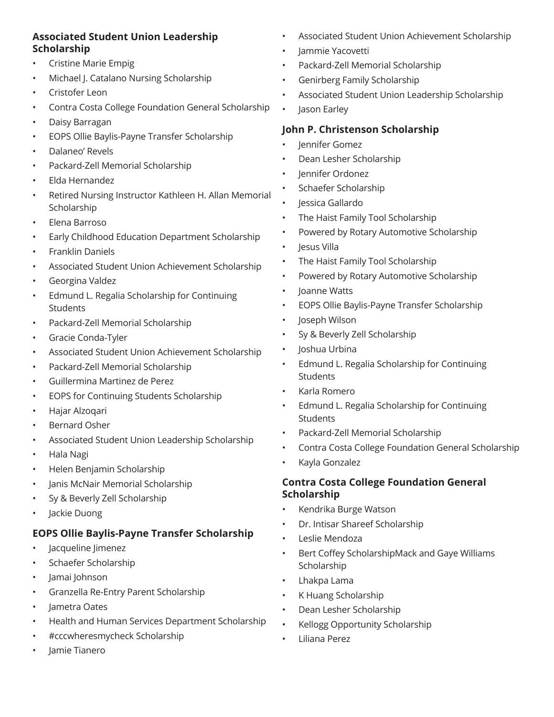#### **Associated Student Union Leadership Scholarship**

- Cristine Marie Empig
- Michael J. Catalano Nursing Scholarship
- Cristofer Leon
- Contra Costa College Foundation General Scholarship
- Daisy Barragan
- EOPS Ollie Baylis-Payne Transfer Scholarship
- Dalaneo' Revels
- Packard-Zell Memorial Scholarship
- Elda Hernandez
- Retired Nursing Instructor Kathleen H. Allan Memorial Scholarship
- Elena Barroso
- Early Childhood Education Department Scholarship
- Franklin Daniels
- Associated Student Union Achievement Scholarship
- Georgina Valdez
- Edmund L. Regalia Scholarship for Continuing **Students**
- Packard-Zell Memorial Scholarship
- Gracie Conda-Tyler
- Associated Student Union Achievement Scholarship
- Packard-Zell Memorial Scholarship
- Guillermina Martinez de Perez
- EOPS for Continuing Students Scholarship
- Hajar Alzoqari
- Bernard Osher
- Associated Student Union Leadership Scholarship
- Hala Nagi
- Helen Benjamin Scholarship
- Janis McNair Memorial Scholarship
- Sy & Beverly Zell Scholarship
- Jackie Duong

# **EOPS Ollie Baylis-Payne Transfer Scholarship**

- Jacqueline Jimenez
- Schaefer Scholarship
- Jamai Johnson
- Granzella Re-Entry Parent Scholarship
- Jametra Oates
- Health and Human Services Department Scholarship
- #cccwheresmycheck Scholarship
- Jamie Tianero
- Associated Student Union Achievement Scholarship
- Jammie Yacovetti
- Packard-Zell Memorial Scholarship
- Genirberg Family Scholarship
- Associated Student Union Leadership Scholarship
- Jason Earley

# **John P. Christenson Scholarship**

- Jennifer Gomez
- Dean Lesher Scholarship
- Jennifer Ordonez
- Schaefer Scholarship
- Jessica Gallardo
- The Haist Family Tool Scholarship
- Powered by Rotary Automotive Scholarship
- Jesus Villa
- The Haist Family Tool Scholarship
- Powered by Rotary Automotive Scholarship
- Joanne Watts
- EOPS Ollie Baylis-Payne Transfer Scholarship
- Joseph Wilson
- Sy & Beverly Zell Scholarship
- Joshua Urbina
- Edmund L. Regalia Scholarship for Continuing **Students**
- Karla Romero
- Edmund L. Regalia Scholarship for Continuing **Students**
- Packard-Zell Memorial Scholarship
- Contra Costa College Foundation General Scholarship
- Kayla Gonzalez

#### **Contra Costa College Foundation General Scholarship**

- Kendrika Burge Watson
- Dr. Intisar Shareef Scholarship
- Leslie Mendoza
- Bert Coffey ScholarshipMack and Gaye Williams **Scholarship**
- Lhakpa Lama
- K Huang Scholarship
- Dean Lesher Scholarship
- Kellogg Opportunity Scholarship
- Liliana Perez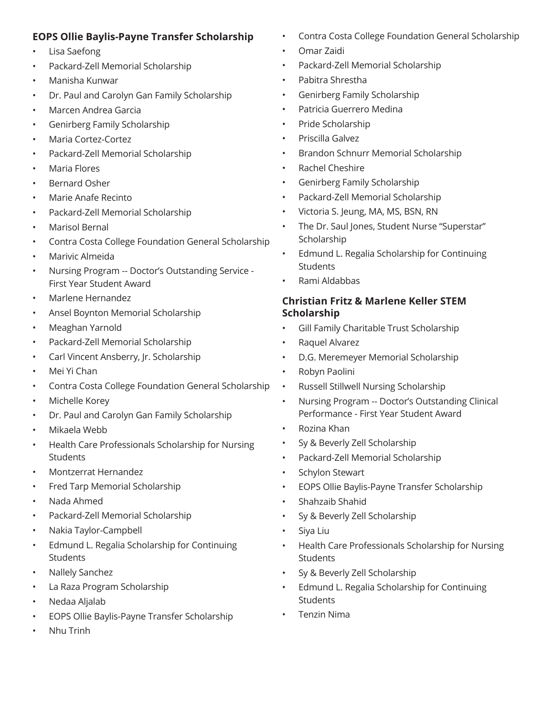## **EOPS Ollie Baylis-Payne Transfer Scholarship**

- Lisa Saefong
- Packard-Zell Memorial Scholarship
- Manisha Kunwar
- Dr. Paul and Carolyn Gan Family Scholarship
- Marcen Andrea Garcia
- Genirberg Family Scholarship
- Maria Cortez-Cortez
- Packard-Zell Memorial Scholarship
- Maria Flores
- Bernard Osher
- Marie Anafe Recinto
- Packard-Zell Memorial Scholarship
- Marisol Bernal
- Contra Costa College Foundation General Scholarship
- Marivic Almeida
- Nursing Program -- Doctor's Outstanding Service First Year Student Award
- Marlene Hernandez
- Ansel Boynton Memorial Scholarship
- Meaghan Yarnold
- Packard-Zell Memorial Scholarship
- Carl Vincent Ansberry, Jr. Scholarship
- Mei Yi Chan
- Contra Costa College Foundation General Scholarship
- Michelle Korey
- Dr. Paul and Carolyn Gan Family Scholarship
- Mikaela Webb
- Health Care Professionals Scholarship for Nursing **Students**
- Montzerrat Hernandez
- Fred Tarp Memorial Scholarship
- Nada Ahmed
- Packard-Zell Memorial Scholarship
- Nakia Taylor-Campbell
- Edmund L. Regalia Scholarship for Continuing **Students**
- Nallely Sanchez
- La Raza Program Scholarship
- Nedaa Aljalab
- EOPS Ollie Baylis-Payne Transfer Scholarship
- Nhu Trinh
- Contra Costa College Foundation General Scholarship
- Omar Zaidi
- Packard-Zell Memorial Scholarship
- Pabitra Shrestha
- Genirberg Family Scholarship
- Patricia Guerrero Medina
- Pride Scholarship
- Priscilla Galvez
- Brandon Schnurr Memorial Scholarship
- Rachel Cheshire
- Genirberg Family Scholarship
- Packard-Zell Memorial Scholarship
- Victoria S. Jeung, MA, MS, BSN, RN
- The Dr. Saul Jones, Student Nurse "Superstar" Scholarship
- Edmund L. Regalia Scholarship for Continuing Students
- Rami Aldabbas

## **Christian Fritz & Marlene Keller STEM Scholarship**

- Gill Family Charitable Trust Scholarship
- Raquel Alvarez
- D.G. Meremeyer Memorial Scholarship
- Robyn Paolini
- Russell Stillwell Nursing Scholarship
- Nursing Program -- Doctor's Outstanding Clinical Performance - First Year Student Award
- Rozina Khan
- Sy & Beverly Zell Scholarship
- Packard-Zell Memorial Scholarship
- Schylon Stewart
- EOPS Ollie Baylis-Payne Transfer Scholarship
- Shahzaib Shahid
- Sy & Beverly Zell Scholarship
- Siya Liu
- Health Care Professionals Scholarship for Nursing **Students**
- Sy & Beverly Zell Scholarship
- Edmund L. Regalia Scholarship for Continuing **Students**
- Tenzin Nima